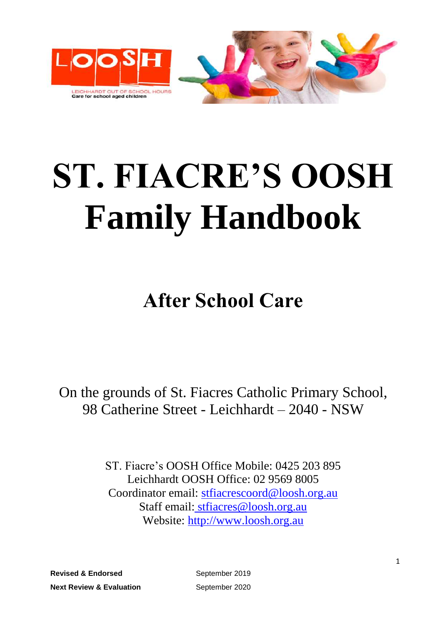

# **ST. FIACRE'S OOSH Family Handbook**

# **After School Care**

On the grounds of St. Fiacres Catholic Primary School, 98 Catherine Street - Leichhardt – 2040 - NSW

> ST. Fiacre's OOSH Office Mobile: 0425 203 895 Leichhardt OOSH Office: 02 9569 8005 Coordinator email: [stfiacrescoord@loosh.org.au](mailto:stfiacrescoord@loosh.org.au) Staff email: [stfiacres@loosh.org.au](mailto:%20stfiacres@loosh.org.au) Website: [http://www.loosh.org.au](http://www.loosh.org.au/)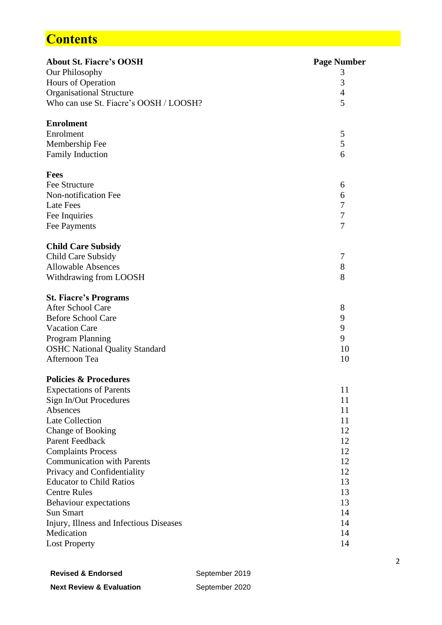# **Contents**

| <b>About St. Fiacre's OOSH</b>          | <b>Page Number</b> |
|-----------------------------------------|--------------------|
| Our Philosophy                          | 3                  |
| Hours of Operation                      | 3                  |
| <b>Organisational Structure</b>         | $\overline{4}$     |
| Who can use St. Fiacre's OOSH / LOOSH?  | 5                  |
|                                         |                    |
| <b>Enrolment</b><br>Enrolment           |                    |
|                                         | 5<br>5             |
| Membership Fee                          | 6                  |
| <b>Family Induction</b>                 |                    |
| Fees                                    |                    |
| Fee Structure                           | 6                  |
| Non-notification Fee                    | 6                  |
| <b>Late Fees</b>                        | 7                  |
| Fee Inquiries                           | $\tau$             |
| Fee Payments                            | $\overline{7}$     |
| <b>Child Care Subsidy</b>               |                    |
| Child Care Subsidy                      | 7                  |
| <b>Allowable Absences</b>               | 8                  |
| Withdrawing from LOOSH                  | 8                  |
| <b>St. Fiacre's Programs</b>            |                    |
| After School Care                       | 8                  |
| <b>Before School Care</b>               | 9                  |
| <b>Vacation Care</b>                    | 9                  |
| Program Planning                        | 9                  |
| <b>OSHC National Quality Standard</b>   | 10                 |
| Afternoon Tea                           | 10                 |
|                                         |                    |
| <b>Policies &amp; Procedures</b>        |                    |
| <b>Expectations of Parents</b>          | 11                 |
| Sign In/Out Procedures<br>Absences      | 11<br>11           |
| <b>Late Collection</b>                  | 11                 |
| Change of Booking                       | 12                 |
| Parent Feedback                         | 12                 |
| <b>Complaints Process</b>               | 12                 |
| <b>Communication with Parents</b>       | 12                 |
| Privacy and Confidentiality             | 12                 |
| <b>Educator to Child Ratios</b>         | 13                 |
| <b>Centre Rules</b>                     | 13                 |
| Behaviour expectations                  | 13                 |
| <b>Sun Smart</b>                        | 14                 |
| Injury, Illness and Infectious Diseases | 14                 |
| Medication                              | 14                 |
| <b>Lost Property</b>                    | 14                 |
|                                         |                    |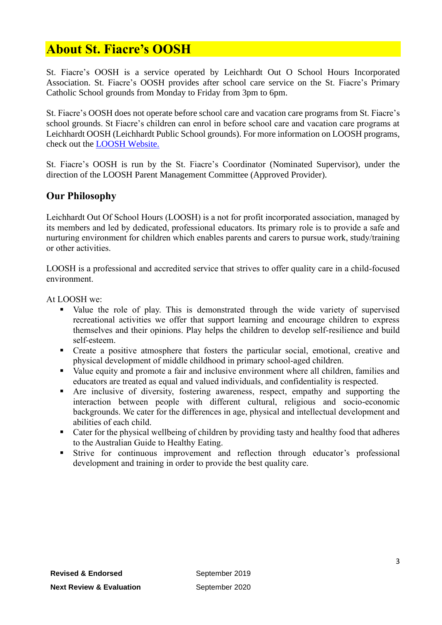# **About St. Fiacre's OOSH**

St. Fiacre's OOSH is a service operated by Leichhardt Out O School Hours Incorporated Association. St. Fiacre's OOSH provides after school care service on the St. Fiacre's Primary Catholic School grounds from Monday to Friday from 3pm to 6pm.

St. Fiacre's OOSH does not operate before school care and vacation care programs from St. Fiacre's school grounds. St Fiacre's children can enrol in before school care and vacation care programs at Leichhardt OOSH (Leichhardt Public School grounds). For more information on LOOSH programs, check out the [LOOSH Website.](https://www.loosh.org.au/)

St. Fiacre's OOSH is run by the St. Fiacre's Coordinator (Nominated Supervisor), under the direction of the LOOSH Parent Management Committee (Approved Provider).

#### **Our Philosophy**

Leichhardt Out Of School Hours (LOOSH) is a not for profit incorporated association, managed by its members and led by dedicated, professional educators. Its primary role is to provide a safe and nurturing environment for children which enables parents and carers to pursue work, study/training or other activities.

LOOSH is a professional and accredited service that strives to offer quality care in a child-focused environment.

At LOOSH we:

- Value the role of play. This is demonstrated through the wide variety of supervised recreational activities we offer that support learning and encourage children to express themselves and their opinions. Play helps the children to develop self-resilience and build self-esteem.
- Create a positive atmosphere that fosters the particular social, emotional, creative and physical development of middle childhood in primary school-aged children.
- Value equity and promote a fair and inclusive environment where all children, families and educators are treated as equal and valued individuals, and confidentiality is respected.
- Are inclusive of diversity, fostering awareness, respect, empathy and supporting the interaction between people with different cultural, religious and socio-economic backgrounds. We cater for the differences in age, physical and intellectual development and abilities of each child.
- Cater for the physical wellbeing of children by providing tasty and healthy food that adheres to the Australian Guide to Healthy Eating.
- Strive for continuous improvement and reflection through educator's professional development and training in order to provide the best quality care.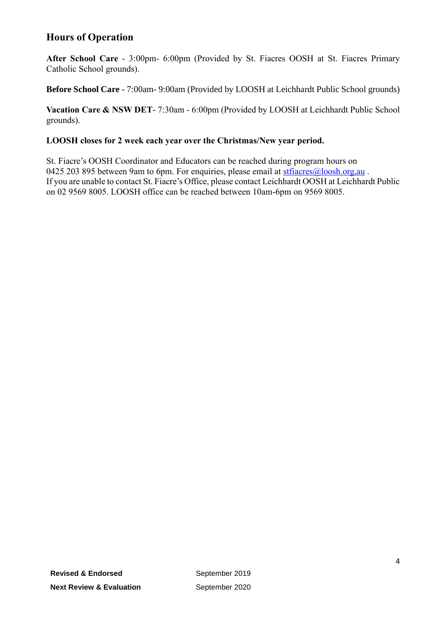#### **Hours of Operation**

**After School Care** - 3:00pm- 6:00pm (Provided by St. Fiacres OOSH at St. Fiacres Primary Catholic School grounds).

**Before School Care** - 7:00am- 9:00am (Provided by LOOSH at Leichhardt Public School grounds)

**Vacation Care & NSW DET**- 7:30am - 6:00pm (Provided by LOOSH at Leichhardt Public School grounds).

#### **LOOSH closes for 2 week each year over the Christmas/New year period.**

St. Fiacre's OOSH Coordinator and Educators can be reached during program hours on 0425 203 895 between 9am to 6pm. For enquiries, please email at stratifiacres $@$ loosh.org,au. If you are unable to contact St. Fiacre's Office, please contact Leichhardt OOSH at Leichhardt Public on 02 9569 8005. LOOSH office can be reached between 10am-6pm on 9569 8005.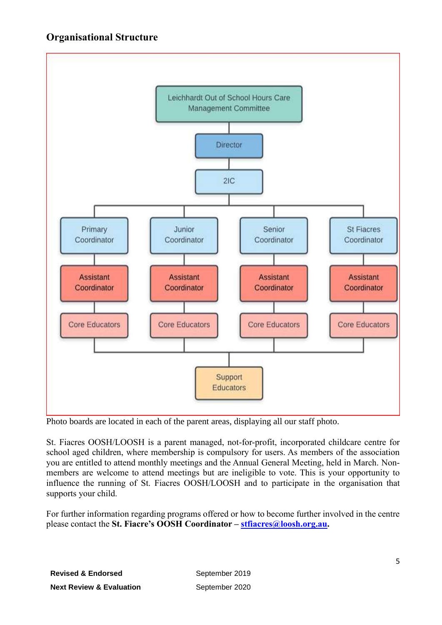#### **Organisational Structure**



Photo boards are located in each of the parent areas, displaying all our staff photo.

St. Fiacres OOSH/LOOSH is a parent managed, not-for-profit, incorporated childcare centre for school aged children, where membership is compulsory for users. As members of the association you are entitled to attend monthly meetings and the Annual General Meeting, held in March. Nonmembers are welcome to attend meetings but are ineligible to vote. This is your opportunity to influence the running of St. Fiacres OOSH/LOOSH and to participate in the organisation that supports your child.

For further information regarding programs offered or how to become further involved in the centre please contact the **St. Fiacre's OOSH Coordinator – [stfiacres@loosh.org.au.](mailto:stfiacres@loosh.org.au)**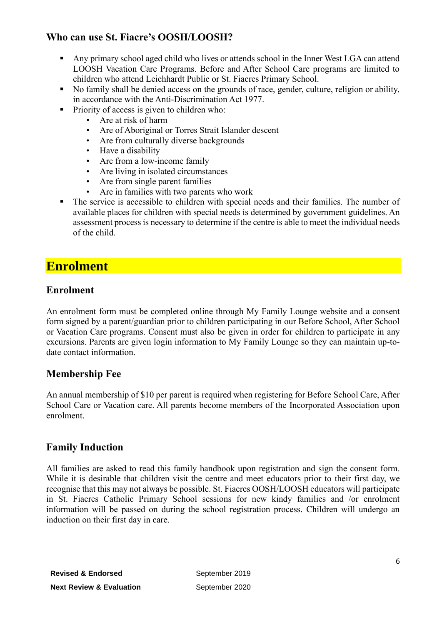#### **Who can use St. Fiacre's OOSH/LOOSH?**

- Any primary school aged child who lives or attends school in the Inner West LGA can attend LOOSH Vacation Care Programs. Before and After School Care programs are limited to children who attend Leichhardt Public or St. Fiacres Primary School.
- No family shall be denied access on the grounds of race, gender, culture, religion or ability, in accordance with the Anti-Discrimination Act 1977.
- Priority of access is given to children who:
	- Are at risk of harm
	- Are of Aboriginal or Torres Strait Islander descent
	- Are from culturally diverse backgrounds
	- Have a disability
	- Are from a low-income family
	- Are living in isolated circumstances
	- Are from single parent families
	- Are in families with two parents who work
- The service is accessible to children with special needs and their families. The number of available places for children with special needs is determined by government guidelines. An assessment process is necessary to determine if the centre is able to meet the individual needs of the child.

# **Enrolment**

#### **Enrolment**

An enrolment form must be completed online through My Family Lounge website and a consent form signed by a parent/guardian prior to children participating in our Before School, After School or Vacation Care programs. Consent must also be given in order for children to participate in any excursions. Parents are given login information to My Family Lounge so they can maintain up-todate contact information.

#### **Membership Fee**

An annual membership of \$10 per parent is required when registering for Before School Care, After School Care or Vacation care. All parents become members of the Incorporated Association upon enrolment.

#### **Family Induction**

All families are asked to read this family handbook upon registration and sign the consent form. While it is desirable that children visit the centre and meet educators prior to their first day, we recognise that this may not always be possible. St. Fiacres OOSH/LOOSH educators will participate in St. Fiacres Catholic Primary School sessions for new kindy families and /or enrolment information will be passed on during the school registration process. Children will undergo an induction on their first day in care.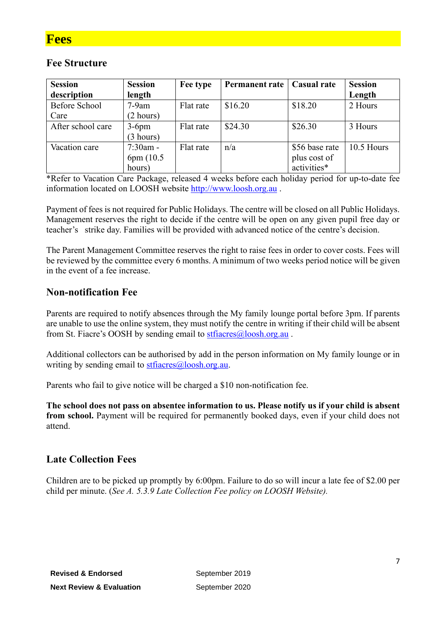#### **Fee Structure**

| <b>Session</b>    | <b>Session</b> | Fee type  | <b>Permanent rate</b> | <b>Casual rate</b> | <b>Session</b> |
|-------------------|----------------|-----------|-----------------------|--------------------|----------------|
| description       | length         |           |                       |                    | Length         |
| Before School     | $7-9am$        | Flat rate | \$16.20               | \$18.20            | 2 Hours        |
| Care              | (2 hours)      |           |                       |                    |                |
| After school care | $3-6$ pm       | Flat rate | \$24.30               | \$26.30            | 3 Hours        |
|                   | (3 hours)      |           |                       |                    |                |
| Vacation care     | $7:30$ am -    | Flat rate | n/a                   | \$56 base rate     | 10.5 Hours     |
|                   | 6pm (10.5)     |           |                       | plus cost of       |                |
|                   | hours)         |           |                       | activities*        |                |

\*Refer to Vacation Care Package, released 4 weeks before each holiday period for up-to-date fee information located on LOOSH website [http://www.loosh.org.au](http://www.loosh.org.au/) .

Payment of fees is not required for Public Holidays. The centre will be closed on all Public Holidays. Management reserves the right to decide if the centre will be open on any given pupil free day or teacher's strike day. Families will be provided with advanced notice of the centre's decision.

The Parent Management Committee reserves the right to raise fees in order to cover costs. Fees will be reviewed by the committee every 6 months. A minimum of two weeks period notice will be given in the event of a fee increase.

#### **Non-notification Fee**

Parents are required to notify absences through the My family lounge portal before 3pm. If parents are unable to use the online system, they must notify the centre in writing if their child will be absent from St. Fiacre's OOSH by sending email to stratifiacres@loosh.org.au.

Additional collectors can be authorised by add in the person information on My family lounge or in writing by sending email to  $stfaces@loosh.org.au$ .

Parents who fail to give notice will be charged a \$10 non-notification fee.

**The school does not pass on absentee information to us. Please notify us if your child is absent from school.** Payment will be required for permanently booked days, even if your child does not attend.

#### **Late Collection Fees**

Children are to be picked up promptly by 6:00pm. Failure to do so will incur a late fee of \$2.00 per child per minute. (*See A. 5.3.9 Late Collection Fee policy on LOOSH Website).*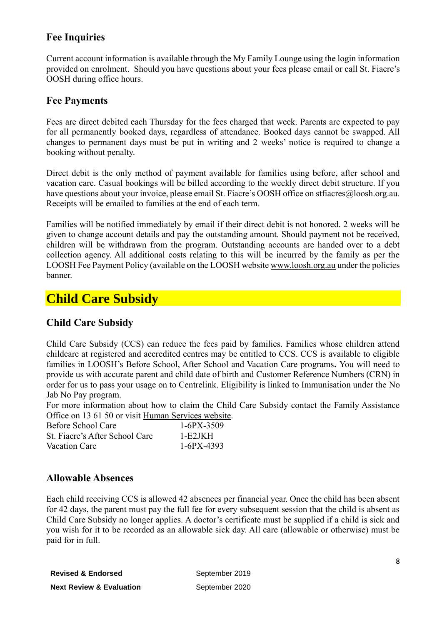#### **Fee Inquiries**

Current account information is available through the My Family Lounge using the login information provided on enrolment. Should you have questions about your fees please email or call St. Fiacre's OOSH during office hours.

#### **Fee Payments**

Fees are direct debited each Thursday for the fees charged that week. Parents are expected to pay for all permanently booked days, regardless of attendance. Booked days cannot be swapped. All changes to permanent days must be put in writing and 2 weeks' notice is required to change a booking without penalty.

Direct debit is the only method of payment available for families using before, after school and vacation care. Casual bookings will be billed according to the weekly direct debit structure. If you have questions about your invoice, please email St. Fiacre's OOSH office on stracres@loosh.org.au. Receipts will be emailed to families at the end of each term.

Families will be notified immediately by email if their direct debit is not honored. 2 weeks will be given to change account details and pay the outstanding amount. Should payment not be received, children will be withdrawn from the program. Outstanding accounts are handed over to a debt collection agency. All additional costs relating to this will be incurred by the family as per the LOOSH Fee Payment Policy (available on the LOOSH websit[e www.loosh.org.au](http://www.loosh.org.au/) under the policies banner.

# **Child Care Subsidy**

#### **Child Care Subsidy**

Child Care Subsidy (CCS) can reduce the fees paid by families. Families whose children attend childcare at registered and accredited centres may be entitled to CCS. CCS is available to eligible families in LOOSH's Before School, After School and Vacation Care programs**.** You will need to provide us with accurate parent and child date of birth and Customer Reference Numbers (CRN) in order for us to pass your usage on to Centrelink. Eligibility is linked to Immunisation under the No [Jab No Pay p](https://www.humanservices.gov.au/organisations/about-us/budget/budget-2017-18/families/supporting-no-jab-no-pay-healthy-start-school-new-compliance-arrangements)rogram.

For more information about how to claim the Child Care Subsidy contact the Family Assistance Office on 13 61 50 or visit [Human Services](https://www.humanservices.gov.au/individuals/services/centrelink/child-care-subsidy) website.

| Before School Care             | $1-6PX-3509$ |
|--------------------------------|--------------|
| St. Fiacre's After School Care | 1-E2JKH      |
| Vacation Care                  | $1-6PX-4393$ |

#### **Allowable Absences**

Each child receiving CCS is allowed 42 absences per financial year. Once the child has been absent for 42 days, the parent must pay the full fee for every subsequent session that the child is absent as Child Care Subsidy no longer applies. A doctor's certificate must be supplied if a child is sick and you wish for it to be recorded as an allowable sick day. All care (allowable or otherwise) must be paid for in full.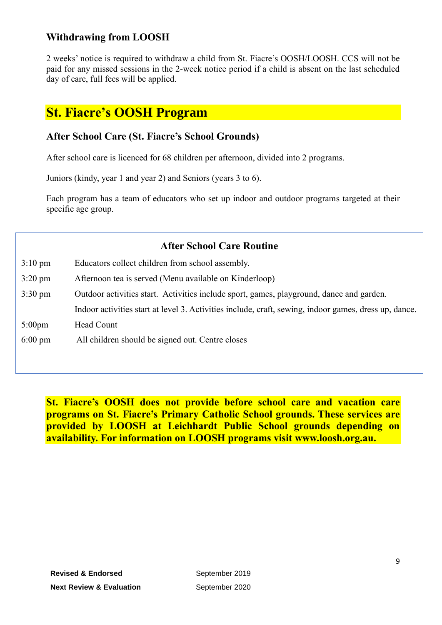#### **Withdrawing from LOOSH**

2 weeks' notice is required to withdraw a child from St. Fiacre's OOSH/LOOSH. CCS will not be paid for any missed sessions in the 2-week notice period if a child is absent on the last scheduled day of care, full fees will be applied.

## **St. Fiacre's OOSH Program**

#### **After School Care (St. Fiacre's School Grounds)**

After school care is licenced for 68 children per afternoon, divided into 2 programs.

Juniors (kindy, year 1 and year 2) and Seniors (years 3 to 6).

Each program has a team of educators who set up indoor and outdoor programs targeted at their specific age group.

| <b>After School Care Routine</b> |                                                                                                       |  |  |
|----------------------------------|-------------------------------------------------------------------------------------------------------|--|--|
| $3:10 \text{ pm}$                | Educators collect children from school assembly.                                                      |  |  |
| $3:20 \text{ pm}$                | Afternoon tea is served (Menu available on Kinderloop)                                                |  |  |
| $3:30 \text{ pm}$                | Outdoor activities start. Activities include sport, games, playground, dance and garden.              |  |  |
|                                  | Indoor activities start at level 3. Activities include, craft, sewing, indoor games, dress up, dance. |  |  |
| $5:00 \text{pm}$                 | Head Count                                                                                            |  |  |
| $6:00 \text{ pm}$                | All children should be signed out. Centre closes                                                      |  |  |
|                                  |                                                                                                       |  |  |

**St. Fiacre's OOSH does not provide before school care and vacation care programs on St. Fiacre's Primary Catholic School grounds. These services are provided by LOOSH at Leichhardt Public School grounds depending on availability. For information on LOOSH programs visit www.loosh.org.au.**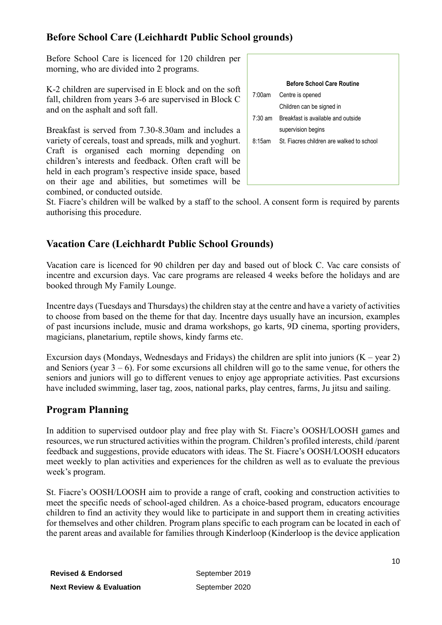#### **Before School Care (Leichhardt Public School grounds)**

Before School Care is licenced for 120 children per morning, who are divided into 2 programs.

K-2 children are supervised in E block and on the soft fall, children from years 3-6 are supervised in Block C and on the asphalt and soft fall.

Breakfast is served from 7.30-8.30am and includes a variety of cereals, toast and spreads, milk and yoghurt. Craft is organised each morning depending on children's interests and feedback. Often craft will be held in each program's respective inside space, based on their age and abilities, but sometimes will be combined, or conducted outside.

|                   | <b>Before School Care Routine</b>                |
|-------------------|--------------------------------------------------|
| 7:00am            | Centre is opened                                 |
|                   | Children can be signed in                        |
| $7:30 \text{ am}$ | Breakfast is available and outside               |
|                   | supervision begins                               |
|                   | 8:15am St. Fiacres children are walked to school |
|                   |                                                  |
|                   |                                                  |
|                   |                                                  |

St. Fiacre's children will be walked by a staff to the school. A consent form is required by parents authorising this procedure.

#### **Vacation Care (Leichhardt Public School Grounds)**

Vacation care is licenced for 90 children per day and based out of block C. Vac care consists of incentre and excursion days. Vac care programs are released 4 weeks before the holidays and are booked through My Family Lounge.

Incentre days (Tuesdays and Thursdays) the children stay at the centre and have a variety of activities to choose from based on the theme for that day. Incentre days usually have an incursion, examples of past incursions include, music and drama workshops, go karts, 9D cinema, sporting providers, magicians, planetarium, reptile shows, kindy farms etc.

Excursion days (Mondays, Wednesdays and Fridays) the children are split into juniors  $(K - year 2)$ and Seniors (year  $3 - 6$ ). For some excursions all children will go to the same venue, for others the seniors and juniors will go to different venues to enjoy age appropriate activities. Past excursions have included swimming, laser tag, zoos, national parks, play centres, farms, Ju jitsu and sailing.

#### **Program Planning**

In addition to supervised outdoor play and free play with St. Fiacre's OOSH/LOOSH games and resources, we run structured activities within the program. Children's profiled interests, child /parent feedback and suggestions, provide educators with ideas. The St. Fiacre's OOSH/LOOSH educators meet weekly to plan activities and experiences for the children as well as to evaluate the previous week's program.

St. Fiacre's OOSH/LOOSH aim to provide a range of craft, cooking and construction activities to meet the specific needs of school-aged children. As a choice-based program, educators encourage children to find an activity they would like to participate in and support them in creating activities for themselves and other children. Program plans specific to each program can be located in each of the parent areas and available for families through Kinderloop (Kinderloop is the device application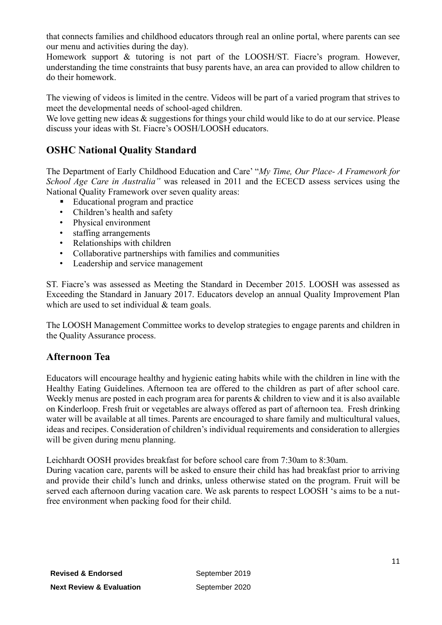that connects families and childhood educators through real an online portal, where parents can see our menu and activities during the day).

Homework support & tutoring is not part of the LOOSH/ST. Fiacre's program. However, understanding the time constraints that busy parents have, an area can provided to allow children to do their homework.

The viewing of videos is limited in the centre. Videos will be part of a varied program that strives to meet the developmental needs of school-aged children.

We love getting new ideas & suggestions for things your child would like to do at our service. Please discuss your ideas with St. Fiacre's OOSH/LOOSH educators.

#### **OSHC National Quality Standard**

The Department of Early Childhood Education and Care' "*My Time, Our Place- A Framework for School Age Care in Australia"* was released in 2011 and the ECECD assess services using the National Quality Framework over seven quality areas:

- Educational program and practice
- Children's health and safety
- Physical environment
- staffing arrangements
- Relationships with children
- Collaborative partnerships with families and communities
- Leadership and service management

ST. Fiacre's was assessed as Meeting the Standard in December 2015. LOOSH was assessed as Exceeding the Standard in January 2017. Educators develop an annual Quality Improvement Plan which are used to set individual & team goals.

The LOOSH Management Committee works to develop strategies to engage parents and children in the Quality Assurance process.

#### **Afternoon Tea**

Educators will encourage healthy and hygienic eating habits while with the children in line with the Healthy Eating Guidelines. Afternoon tea are offered to the children as part of after school care. Weekly menus are posted in each program area for parents & children to view and it is also available on Kinderloop. Fresh fruit or vegetables are always offered as part of afternoon tea. Fresh drinking water will be available at all times. Parents are encouraged to share family and multicultural values, ideas and recipes. Consideration of children's individual requirements and consideration to allergies will be given during menu planning.

Leichhardt OOSH provides breakfast for before school care from 7:30am to 8:30am.

During vacation care, parents will be asked to ensure their child has had breakfast prior to arriving and provide their child's lunch and drinks, unless otherwise stated on the program. Fruit will be served each afternoon during vacation care. We ask parents to respect LOOSH 's aims to be a nutfree environment when packing food for their child.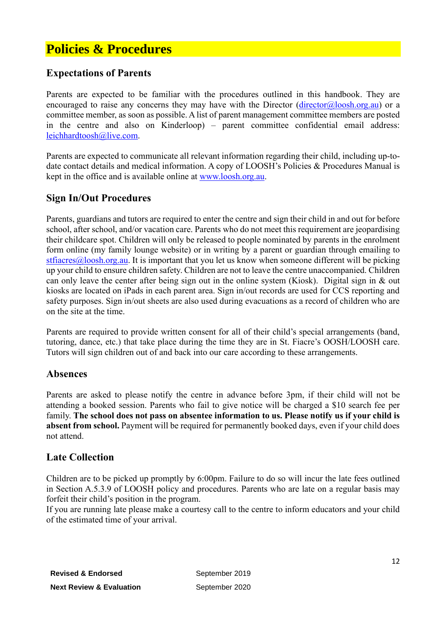# **Policies & Procedures**

#### **Expectations of Parents**

Parents are expected to be familiar with the procedures outlined in this handbook. They are encouraged to raise any concerns they may have with the Director  $(director@loosh.org.au)$  or a committee member, as soon as possible. A list of parent management committee members are posted in the centre and also on Kinderloop) – parent committee confidential email address: [leichhardtoosh@live.com.](mailto:leichhardtoosh@live.com)

Parents are expected to communicate all relevant information regarding their child, including up-todate contact details and medical information. A copy of LOOSH's Policies & Procedures Manual is kept in the office and is available online at [www.loosh.org.au.](http://www.loosh.org.au/)

#### **Sign In/Out Procedures**

Parents, guardians and tutors are required to enter the centre and sign their child in and out for before school, after school, and/or vacation care. Parents who do not meet this requirement are jeopardising their childcare spot. Children will only be released to people nominated by parents in the enrolment form online (my family lounge website) or in writing by a parent or guardian through emailing to [stfiacres@loosh.org.au.](mailto:stfiacres@loosh.org.au) It is important that you let us know when someone different will be picking up your child to ensure children safety. Children are not to leave the centre unaccompanied. Children can only leave the center after being sign out in the online system (Kiosk). Digital sign in & out kiosks are located on iPads in each parent area. Sign in/out records are used for CCS reporting and safety purposes. Sign in/out sheets are also used during evacuations as a record of children who are on the site at the time.

Parents are required to provide written consent for all of their child's special arrangements (band, tutoring, dance, etc.) that take place during the time they are in St. Fiacre's OOSH/LOOSH care. Tutors will sign children out of and back into our care according to these arrangements.

#### **Absences**

Parents are asked to please notify the centre in advance before 3pm, if their child will not be attending a booked session. Parents who fail to give notice will be charged a \$10 search fee per family. **The school does not pass on absentee information to us. Please notify us if your child is absent from school.** Payment will be required for permanently booked days, even if your child does not attend.

#### **Late Collection**

Children are to be picked up promptly by 6:00pm. Failure to do so will incur the late fees outlined in Section A.5.3.9 of LOOSH policy and procedures. Parents who are late on a regular basis may forfeit their child's position in the program.

If you are running late please make a courtesy call to the centre to inform educators and your child of the estimated time of your arrival.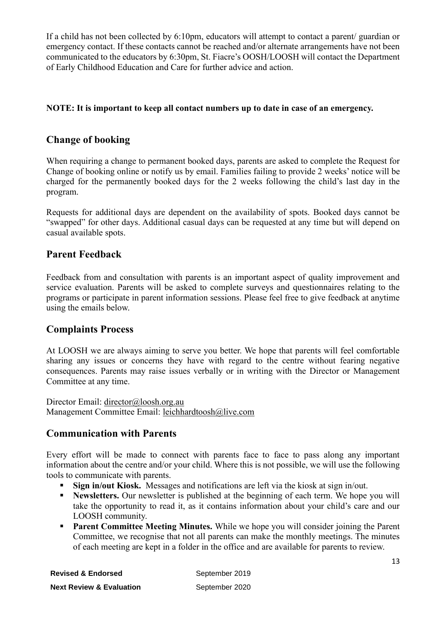If a child has not been collected by 6:10pm, educators will attempt to contact a parent/ guardian or emergency contact. If these contacts cannot be reached and/or alternate arrangements have not been communicated to the educators by 6:30pm, St. Fiacre's OOSH/LOOSH will contact the Department of Early Childhood Education and Care for further advice and action.

#### **NOTE: It is important to keep all contact numbers up to date in case of an emergency.**

#### **Change of booking**

When requiring a change to permanent booked days, parents are asked to complete the Request for Change of booking online or notify us by email. Families failing to provide 2 weeks' notice will be charged for the permanently booked days for the 2 weeks following the child's last day in the program.

Requests for additional days are dependent on the availability of spots. Booked days cannot be "swapped" for other days. Additional casual days can be requested at any time but will depend on casual available spots.

#### **Parent Feedback**

Feedback from and consultation with parents is an important aspect of quality improvement and service evaluation. Parents will be asked to complete surveys and questionnaires relating to the programs or participate in parent information sessions. Please feel free to give feedback at anytime using the emails below.

#### **Complaints Process**

At LOOSH we are always aiming to serve you better. We hope that parents will feel comfortable sharing any issues or concerns they have with regard to the centre without fearing negative consequences. Parents may raise issues verbally or in writing with the Director or Management Committee at any time.

Director Email: [director@loosh.org.au](mailto:director@loosh.org.au) Management Committee Email: [leichhardtoosh@live.com](mailto:leichhardtoosh@live.com)

#### **Communication with Parents**

Every effort will be made to connect with parents face to face to pass along any important information about the centre and/or your child. Where this is not possible, we will use the following tools to communicate with parents.

- **Sign in/out Kiosk.** Messages and notifications are left via the kiosk at sign in/out.
- **EXECUTE:** Newsletters. Our newsletter is published at the beginning of each term. We hope you will take the opportunity to read it, as it contains information about your child's care and our LOOSH community.
- **Parent Committee Meeting Minutes.** While we hope you will consider joining the Parent Committee, we recognise that not all parents can make the monthly meetings. The minutes of each meeting are kept in a folder in the office and are available for parents to review.

| <b>Revised &amp; Endorsed</b>       | September 2019 |
|-------------------------------------|----------------|
| <b>Next Review &amp; Evaluation</b> | September 2020 |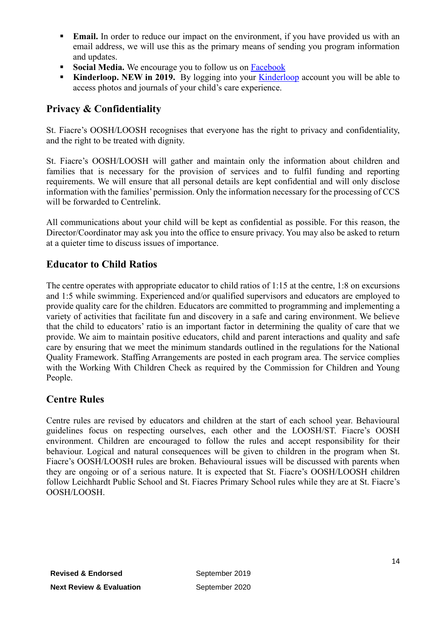- **Email.** In order to reduce our impact on the environment, if you have provided us with an email address, we will use this as the primary means of sending you program information and updates.
- **Social Media.** We encourage you to follow us on [Facebook](https://www.facebook.com/leichhardt.oosh)
- **EXIM** [Kinderloop](https://app.kinderloop.com/login/auth). NEW in 2019. By logging into your Kinderloop account you will be able to access photos and journals of your child's care experience.

#### **Privacy & Confidentiality**

St. Fiacre's OOSH/LOOSH recognises that everyone has the right to privacy and confidentiality, and the right to be treated with dignity.

St. Fiacre's OOSH/LOOSH will gather and maintain only the information about children and families that is necessary for the provision of services and to fulfil funding and reporting requirements. We will ensure that all personal details are kept confidential and will only disclose information with the families' permission. Only the information necessary for the processing of CCS will be forwarded to Centrelink.

All communications about your child will be kept as confidential as possible. For this reason, the Director/Coordinator may ask you into the office to ensure privacy. You may also be asked to return at a quieter time to discuss issues of importance.

#### **Educator to Child Ratios**

The centre operates with appropriate educator to child ratios of 1:15 at the centre, 1:8 on excursions and 1:5 while swimming. Experienced and/or qualified supervisors and educators are employed to provide quality care for the children. Educators are committed to programming and implementing a variety of activities that facilitate fun and discovery in a safe and caring environment. We believe that the child to educators' ratio is an important factor in determining the quality of care that we provide. We aim to maintain positive educators, child and parent interactions and quality and safe care by ensuring that we meet the minimum standards outlined in the regulations for the National Quality Framework. Staffing Arrangements are posted in each program area. The service complies with the Working With Children Check as required by the Commission for Children and Young People.

#### **Centre Rules**

Centre rules are revised by educators and children at the start of each school year. Behavioural guidelines focus on respecting ourselves, each other and the LOOSH/ST. Fiacre's OOSH environment. Children are encouraged to follow the rules and accept responsibility for their behaviour. Logical and natural consequences will be given to children in the program when St. Fiacre's OOSH/LOOSH rules are broken. Behavioural issues will be discussed with parents when they are ongoing or of a serious nature. It is expected that St. Fiacre's OOSH/LOOSH children follow Leichhardt Public School and St. Fiacres Primary School rules while they are at St. Fiacre's OOSH/LOOSH.